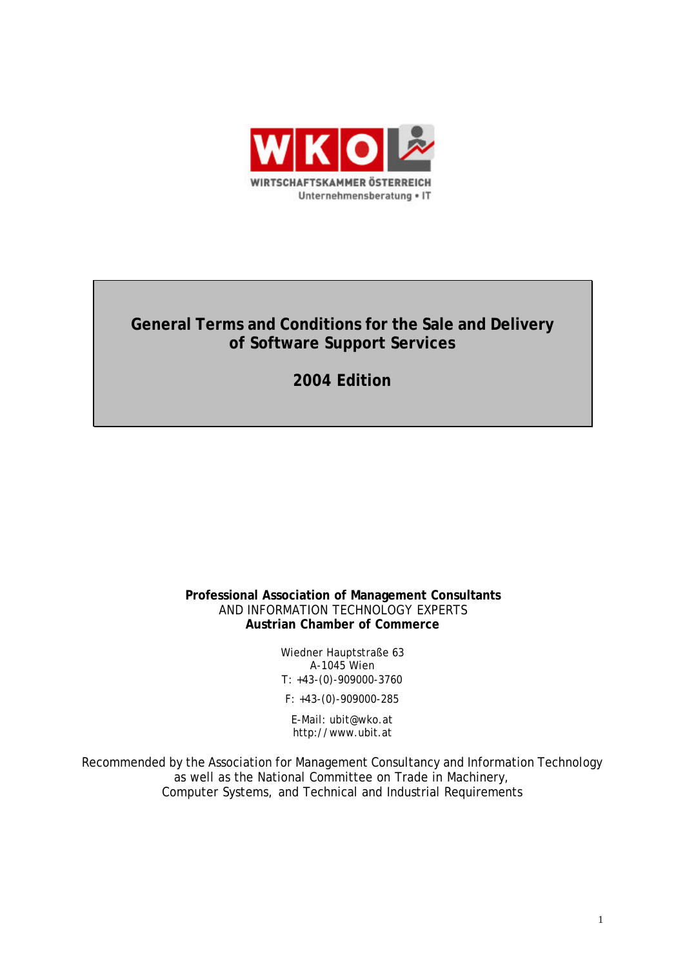

# **General Terms and Conditions for the Sale and Delivery of Software Support Services**

**2004 Edition**

## **Professional Association of Management Consultants** AND INFORMATION TECHNOLOGY EXPERTS **Austrian Chamber of Commerce**

Wiedner Hauptstraße 63 A-1045 Wien T: +43-(0)-909000-3760

F: +43-(0)-909000-285

E-Mail: ubit@wko.at http://www.ubit.at

Recommended by the Association for Management Consultancy and Information Technology as well as the National Committee on Trade in Machinery, Computer Systems, and Technical and Industrial Requirements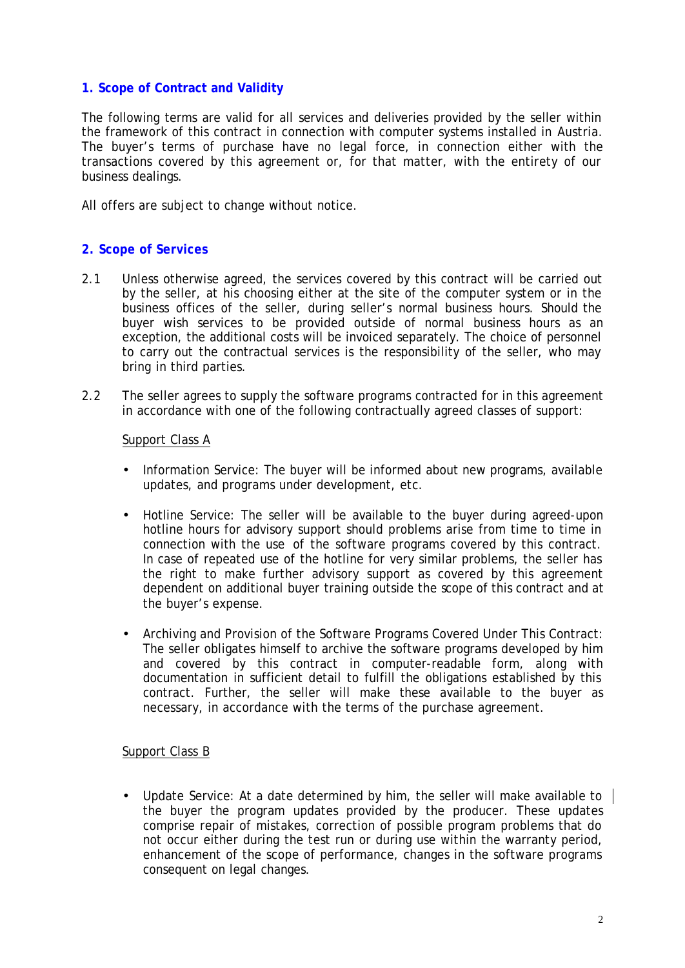# **1. Scope of Contract and Validity**

The following terms are valid for all services and deliveries provided by the seller within the framework of this contract in connection with computer systems installed in Austria. The buyer's terms of purchase have no legal force, in connection either with the transactions covered by this agreement or, for that matter, with the entirety of our business dealings.

All offers are subject to change without notice.

## **2. Scope of Services**

- 2.1 Unless otherwise agreed, the services covered by this contract will be carried out by the seller, at his choosing either at the site of the computer system or in the business offices of the seller, during seller's normal business hours. Should the buyer wish services to be provided outside of normal business hours as an exception, the additional costs will be invoiced separately. The choice of personnel to carry out the contractual services is the responsibility of the seller, who may bring in third parties.
- 2.2 The seller agrees to supply the software programs contracted for in this agreement in accordance with one of the following contractually agreed classes of support:

#### Support Class A

- Information Service: The buyer will be informed about new programs, available updates, and programs under development, etc.
- Hotline Service: The seller will be available to the buyer during agreed-upon hotline hours for advisory support should problems arise from time to time in connection with the use of the software programs covered by this contract. In case of repeated use of the hotline for very similar problems, the seller has the right to make further advisory support as covered by this agreement dependent on additional buyer training outside the scope of this contract and at the buyer's expense.
- Archiving and Provision of the Software Programs Covered Under This Contract: The seller obligates himself to archive the software programs developed by him and covered by this contract in computer-readable form, along with documentation in sufficient detail to fulfill the obligations established by this contract. Further, the seller will make these available to the buyer as necessary, in accordance with the terms of the purchase agreement.

#### Support Class B

• Update Service: At a date determined by him, the seller will make available to  $\parallel$ the buyer the program updates provided by the producer. These updates comprise repair of mistakes, correction of possible program problems that do not occur either during the test run or during use within the warranty period, enhancement of the scope of performance, changes in the software programs consequent on legal changes.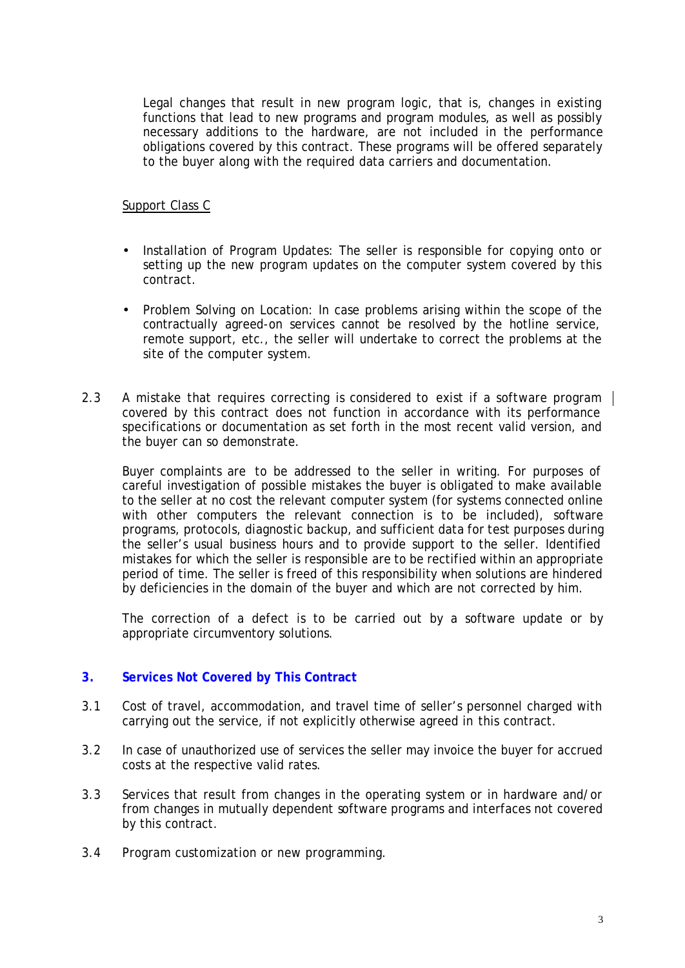Legal changes that result in new program logic, that is, changes in existing functions that lead to new programs and program modules, as well as possibly necessary additions to the hardware, are not included in the performance obligations covered by this contract. These programs will be offered separately to the buyer along with the required data carriers and documentation.

## Support Class C

- Installation of Program Updates: The seller is responsible for copying onto or setting up the new program updates on the computer system covered by this contract.
- Problem Solving on Location: In case problems arising within the scope of the contractually agreed-on services cannot be resolved by the hotline service, remote support, etc., the seller will undertake to correct the problems at the site of the computer system.
- 2.3 A mistake that requires correcting is considered to exist if a software program | covered by this contract does not function in accordance with its performance specifications or documentation as set forth in the most recent valid version, and the buyer can so demonstrate.

Buyer complaints are to be addressed to the seller in writing. For purposes of careful investigation of possible mistakes the buyer is obligated to make available to the seller at no cost the relevant computer system (for systems connected online with other computers the relevant connection is to be included), software programs, protocols, diagnostic backup, and sufficient data for test purposes during the seller's usual business hours and to provide support to the seller. Identified mistakes for which the seller is responsible are to be rectified within an appropriate period of time. The seller is freed of this responsibility when solutions are hindered by deficiencies in the domain of the buyer and which are not corrected by him.

The correction of a defect is to be carried out by a software update or by appropriate circumventory solutions.

# **3. Services Not Covered by This Contract**

- 3.1 Cost of travel, accommodation, and travel time of seller's personnel charged with carrying out the service, if not explicitly otherwise agreed in this contract.
- 3.2 In case of unauthorized use of services the seller may invoice the buyer for accrued costs at the respective valid rates.
- 3.3 Services that result from changes in the operating system or in hardware and/or from changes in mutually dependent software programs and interfaces not covered by this contract.
- 3.4 Program customization or new programming.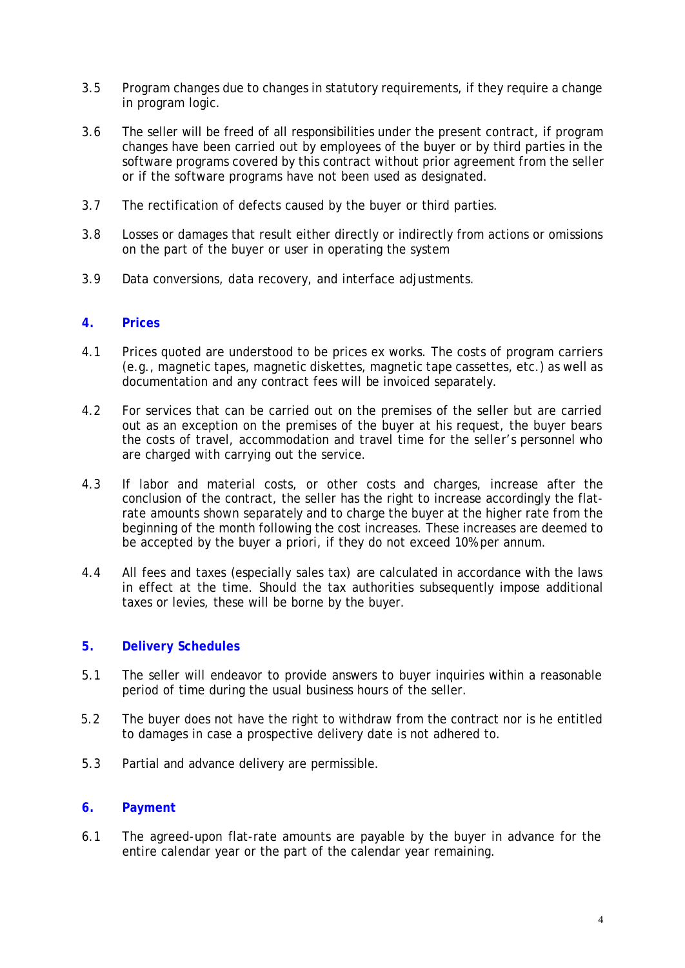- 3.5 Program changes due to changes in statutory requirements, if they require a change in program logic.
- 3.6 The seller will be freed of all responsibilities under the present contract, if program changes have been carried out by employees of the buyer or by third parties in the software programs covered by this contract without prior agreement from the seller or if the software programs have not been used as designated.
- 3.7 The rectification of defects caused by the buyer or third parties.
- 3.8 Losses or damages that result either directly or indirectly from actions or omissions on the part of the buyer or user in operating the system
- 3.9 Data conversions, data recovery, and interface adjustments.

#### **4. Prices**

- 4.1 Prices quoted are understood to be prices ex works. The costs of program carriers (e.g., magnetic tapes, magnetic diskettes, magnetic tape cassettes, etc.) as well as documentation and any contract fees will be invoiced separately.
- 4.2 For services that can be carried out on the premises of the seller but are carried out as an exception on the premises of the buyer at his request, the buyer bears the costs of travel, accommodation and travel time for the seller's personnel who are charged with carrying out the service.
- 4.3 If labor and material costs, or other costs and charges, increase after the conclusion of the contract, the seller has the right to increase accordingly the flatrate amounts shown separately and to charge the buyer at the higher rate from the beginning of the month following the cost increases. These increases are deemed to be accepted by the buyer a priori, if they do not exceed 10% per annum.
- 4.4 All fees and taxes (especially sales tax) are calculated in accordance with the laws in effect at the time. Should the tax authorities subsequently impose additional taxes or levies, these will be borne by the buyer.

#### **5. Delivery Schedules**

- 5.1 The seller will endeavor to provide answers to buyer inquiries within a reasonable period of time during the usual business hours of the seller.
- 5.2 The buyer does not have the right to withdraw from the contract nor is he entitled to damages in case a prospective delivery date is not adhered to.
- 5.3 Partial and advance delivery are permissible.

#### **6. Payment**

6.1 The agreed-upon flat-rate amounts are payable by the buyer in advance for the entire calendar year or the part of the calendar year remaining.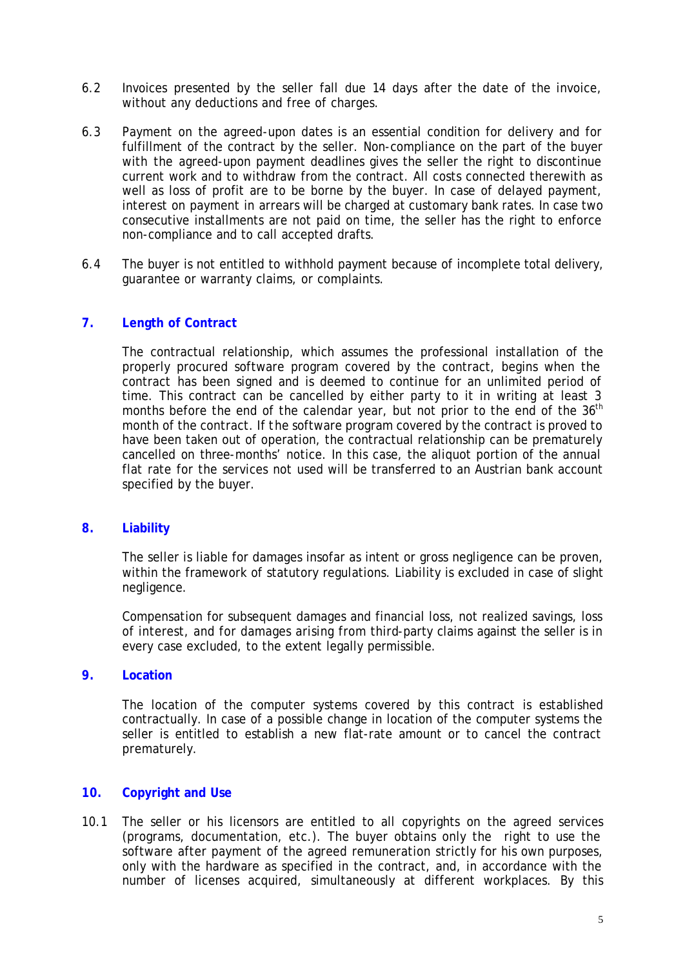- 6.2 Invoices presented by the seller fall due 14 days after the date of the invoice, without any deductions and free of charges.
- 6.3 Payment on the agreed-upon dates is an essential condition for delivery and for fulfillment of the contract by the seller. Non-compliance on the part of the buyer with the agreed-upon payment deadlines gives the seller the right to discontinue current work and to withdraw from the contract. All costs connected therewith as well as loss of profit are to be borne by the buyer. In case of delayed payment, interest on payment in arrears will be charged at customary bank rates. In case two consecutive installments are not paid on time, the seller has the right to enforce non-compliance and to call accepted drafts.
- 6.4 The buyer is not entitled to withhold payment because of incomplete total delivery, guarantee or warranty claims, or complaints.

# **7. Length of Contract**

The contractual relationship, which assumes the professional installation of the properly procured software program covered by the contract, begins when the contract has been signed and is deemed to continue for an unlimited period of time. This contract can be cancelled by either party to it in writing at least 3 months before the end of the calendar year, but not prior to the end of the 36<sup>th</sup> month of the contract. If the software program covered by the contract is proved to have been taken out of operation, the contractual relationship can be prematurely cancelled on three-months' notice. In this case, the aliquot portion of the annual flat rate for the services not used will be transferred to an Austrian bank account specified by the buyer.

## **8. Liability**

The seller is liable for damages insofar as intent or gross negligence can be proven, within the framework of statutory regulations. Liability is excluded in case of slight negligence.

Compensation for subsequent damages and financial loss, not realized savings, loss of interest, and for damages arising from third-party claims against the seller is in every case excluded, to the extent legally permissible.

#### **9. Location**

The location of the computer systems covered by this contract is established contractually. In case of a possible change in location of the computer systems the seller is entitled to establish a new flat-rate amount or to cancel the contract prematurely.

#### **10. Copyright and Use**

10.1 The seller or his licensors are entitled to all copyrights on the agreed services (programs, documentation, etc.). The buyer obtains only the right to use the software after payment of the agreed remuneration strictly for his own purposes, only with the hardware as specified in the contract, and, in accordance with the number of licenses acquired, simultaneously at different workplaces. By this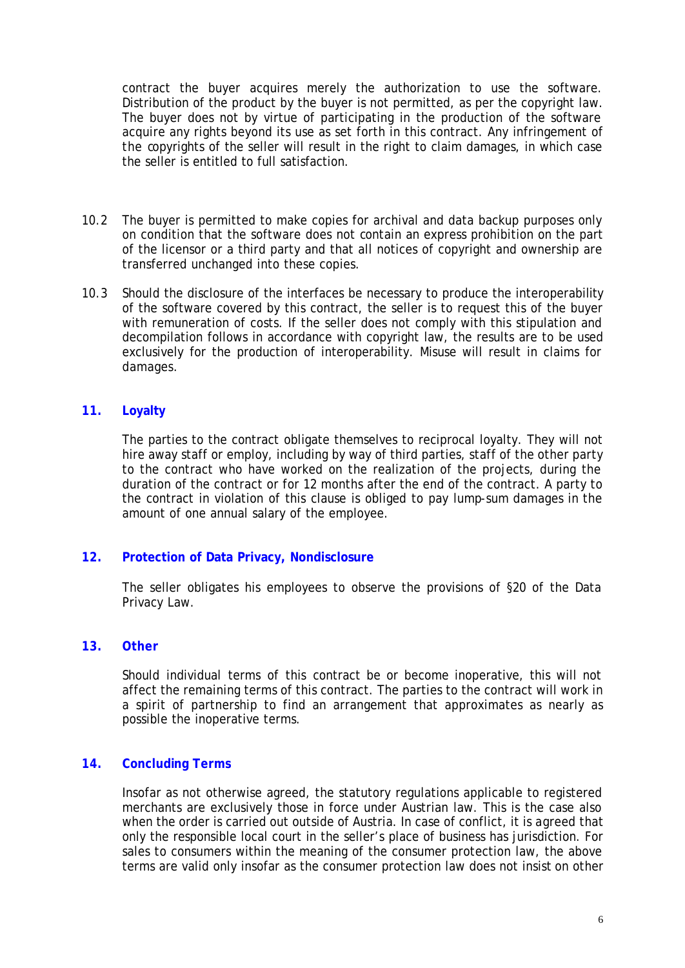contract the buyer acquires merely the authorization to use the software. Distribution of the product by the buyer is not permitted, as per the copyright law. The buyer does not by virtue of participating in the production of the software acquire any rights beyond its use as set forth in this contract. Any infringement of the copyrights of the seller will result in the right to claim damages, in which case the seller is entitled to full satisfaction.

- 10.2 The buyer is permitted to make copies for archival and data backup purposes only on condition that the software does not contain an express prohibition on the part of the licensor or a third party and that all notices of copyright and ownership are transferred unchanged into these copies.
- 10.3 Should the disclosure of the interfaces be necessary to produce the interoperability of the software covered by this contract, the seller is to request this of the buyer with remuneration of costs. If the seller does not comply with this stipulation and decompilation follows in accordance with copyright law, the results are to be used exclusively for the production of interoperability. Misuse will result in claims for damages.

# **11. Loyalty**

The parties to the contract obligate themselves to reciprocal loyalty. They will not hire away staff or employ, including by way of third parties, staff of the other party to the contract who have worked on the realization of the projects, during the duration of the contract or for 12 months after the end of the contract. A party to the contract in violation of this clause is obliged to pay lump-sum damages in the amount of one annual salary of the employee.

#### **12. Protection of Data Privacy, Nondisclosure**

The seller obligates his employees to observe the provisions of §20 of the Data Privacy Law.

#### **13. Other**

Should individual terms of this contract be or become inoperative, this will not affect the remaining terms of this contract. The parties to the contract will work in a spirit of partnership to find an arrangement that approximates as nearly as possible the inoperative terms.

#### **14. Concluding Terms**

Insofar as not otherwise agreed, the statutory regulations applicable to registered merchants are exclusively those in force under Austrian law. This is the case also when the order is carried out outside of Austria. In case of conflict, it is agreed that only the responsible local court in the seller's place of business has jurisdiction. For sales to consumers within the meaning of the consumer protection law, the above terms are valid only insofar as the consumer protection law does not insist on other